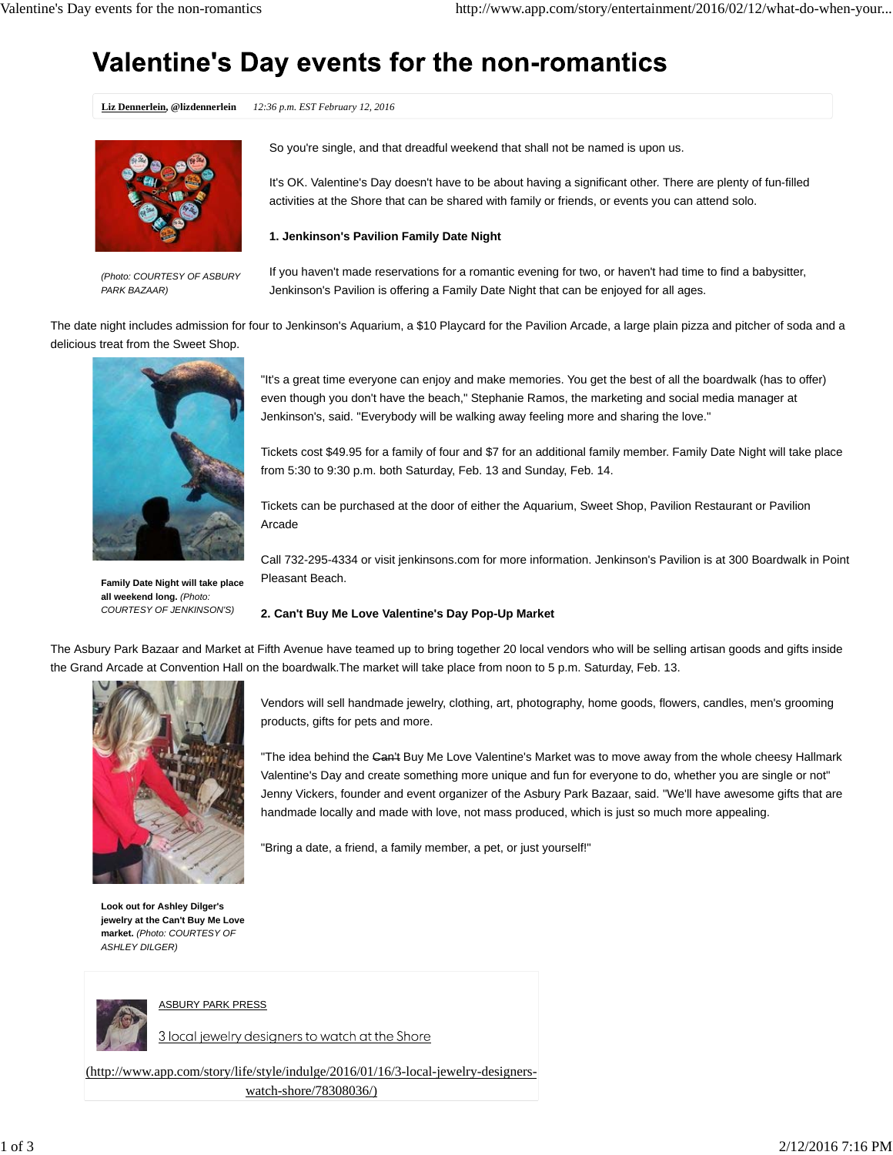# Valentine's Day events for the non-romantics

**Liz Dennerlein, @lizdennerlein** *12:36 p.m. EST February 12, 2016*



*(Photo: COURTESY OF ASBURY PARK BAZAAR)*

So you're single, and that dreadful weekend that shall not be named is upon us.

It's OK. Valentine's Day doesn't have to be about having a significant other. There are plenty of fun-filled activities at the Shore that can be shared with family or friends, or events you can attend solo.

## **1. Jenkinson's Pavilion Family Date Night**

If you haven't made reservations for a romantic evening for two, or haven't had time to find a babysitter, Jenkinson's Pavilion is offering a Family Date Night that can be enjoyed for all ages.

The date night includes admission for four to Jenkinson's Aquarium, a \$10 Playcard for the Pavilion Arcade, a large plain pizza and pitcher of soda and a delicious treat from the Sweet Shop.



**Family Date Night will take place all weekend long.** *(Photo: COURTESY OF JENKINSON'S)*

"It's a great time everyone can enjoy and make memories. You get the best of all the boardwalk (has to offer) even though you don't have the beach," Stephanie Ramos, the marketing and social media manager at Jenkinson's, said. "Everybody will be walking away feeling more and sharing the love."

Tickets cost \$49.95 for a family of four and \$7 for an additional family member. Family Date Night will take place from 5:30 to 9:30 p.m. both Saturday, Feb. 13 and Sunday, Feb. 14.

Tickets can be purchased at the door of either the Aquarium, Sweet Shop, Pavilion Restaurant or Pavilion Arcade

Call 732-295-4334 or visit jenkinsons.com for more information. Jenkinson's Pavilion is at 300 Boardwalk in Point Pleasant Beach.

## **2. Can't Buy Me Love Valentine's Day Pop-Up Market**

The Asbury Park Bazaar and Market at Fifth Avenue have teamed up to bring together 20 local vendors who will be selling artisan goods and gifts inside the Grand Arcade at Convention Hall on the boardwalk.The market will take place from noon to 5 p.m. Saturday, Feb. 13.



**Look out for Ashley Dilger's jewelry at the Can't Buy Me Love market.** *(Photo: COURTESY OF ASHLEY DILGER)*

Vendors will sell handmade jewelry, clothing, art, photography, home goods, flowers, candles, men's grooming products, gifts for pets and more.

"The idea behind the Can't Buy Me Love Valentine's Market was to move away from the whole cheesy Hallmark Valentine's Day and create something more unique and fun for everyone to do, whether you are single or not" Jenny Vickers, founder and event organizer of the Asbury Park Bazaar, said. "We'll have awesome gifts that are handmade locally and made with love, not mass produced, which is just so much more appealing.

"Bring a date, a friend, a family member, a pet, or just yourself!"



ASBURY PARK PRESS

3 local jewelry designers to watch at the Shore

(http://www.app.com/story/life/style/indulge/2016/01/16/3-local-jewelry-designerswatch-shore/78308036/)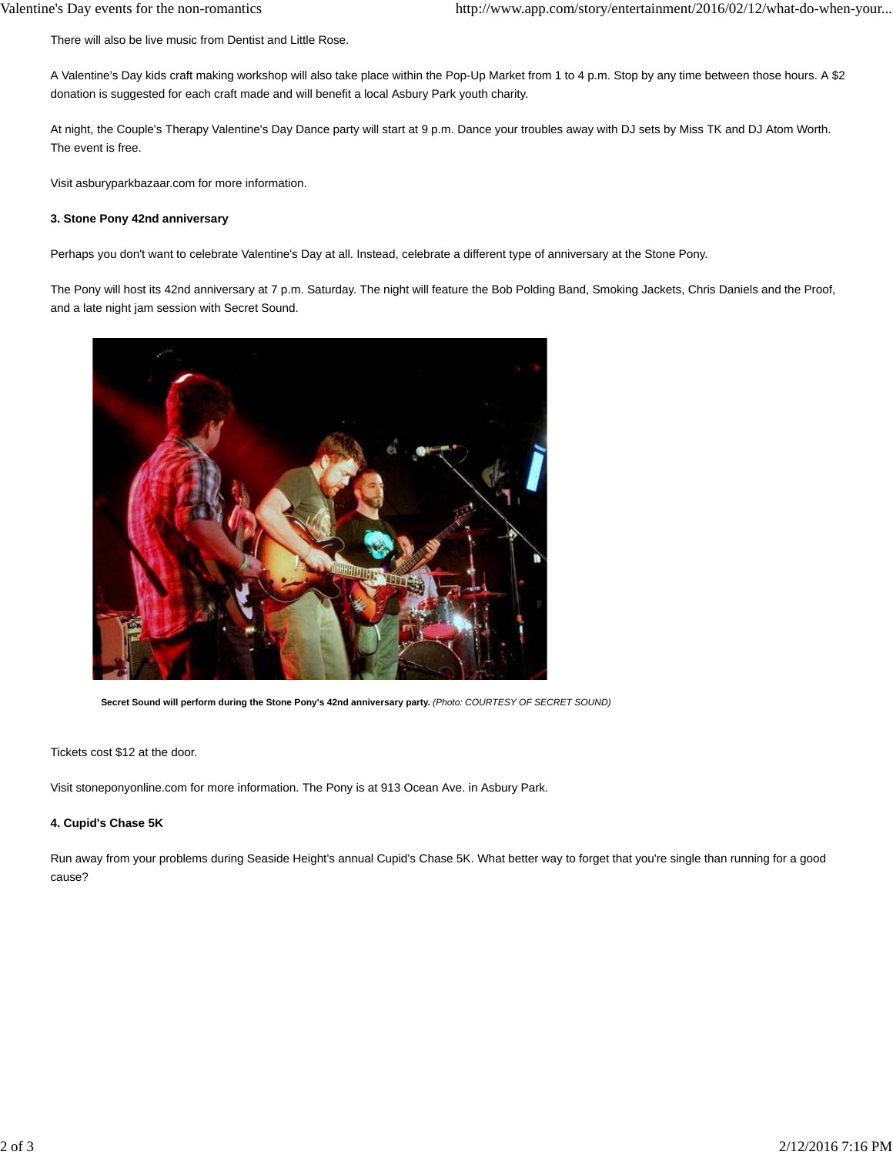There will also be live music from Dentist and Little Rose.

A Valentine's Day kids craft making workshop will also take place within the Pop-Up Market from 1 to 4 p.m. Stop by any time between those hours. A \$2 donation is suggested for each craft made and will benefit a local Asbury Park youth charity.

At night, the Couple's Therapy Valentine's Day Dance party will start at 9 p.m. Dance your troubles away with DJ sets by Miss TK and DJ Atom Worth. The event is free.

Visit asburyparkbazaar.com for more information.

#### **3. Stone Pony 42nd anniversary**

Perhaps you don't want to celebrate Valentine's Day at all. Instead, celebrate a different type of anniversary at the Stone Pony.

The Pony will host its 42nd anniversary at 7 p.m. Saturday. The night will feature the Bob Polding Band, Smoking Jackets, Chris Daniels and the Proof, and a late night jam session with Secret Sound.



**Secret Sound will perform during the Stone Pony's 42nd anniversary party.** *(Photo: COURTESY OF SECRET SOUND)*

Tickets cost \$12 at the door.

Visit stoneponyonline.com for more information. The Pony is at 913 Ocean Ave. in Asbury Park.

#### **4. Cupid's Chase 5K**

Run away from your problems during Seaside Height's annual Cupid's Chase 5K. What better way to forget that you're single than running for a good cause?